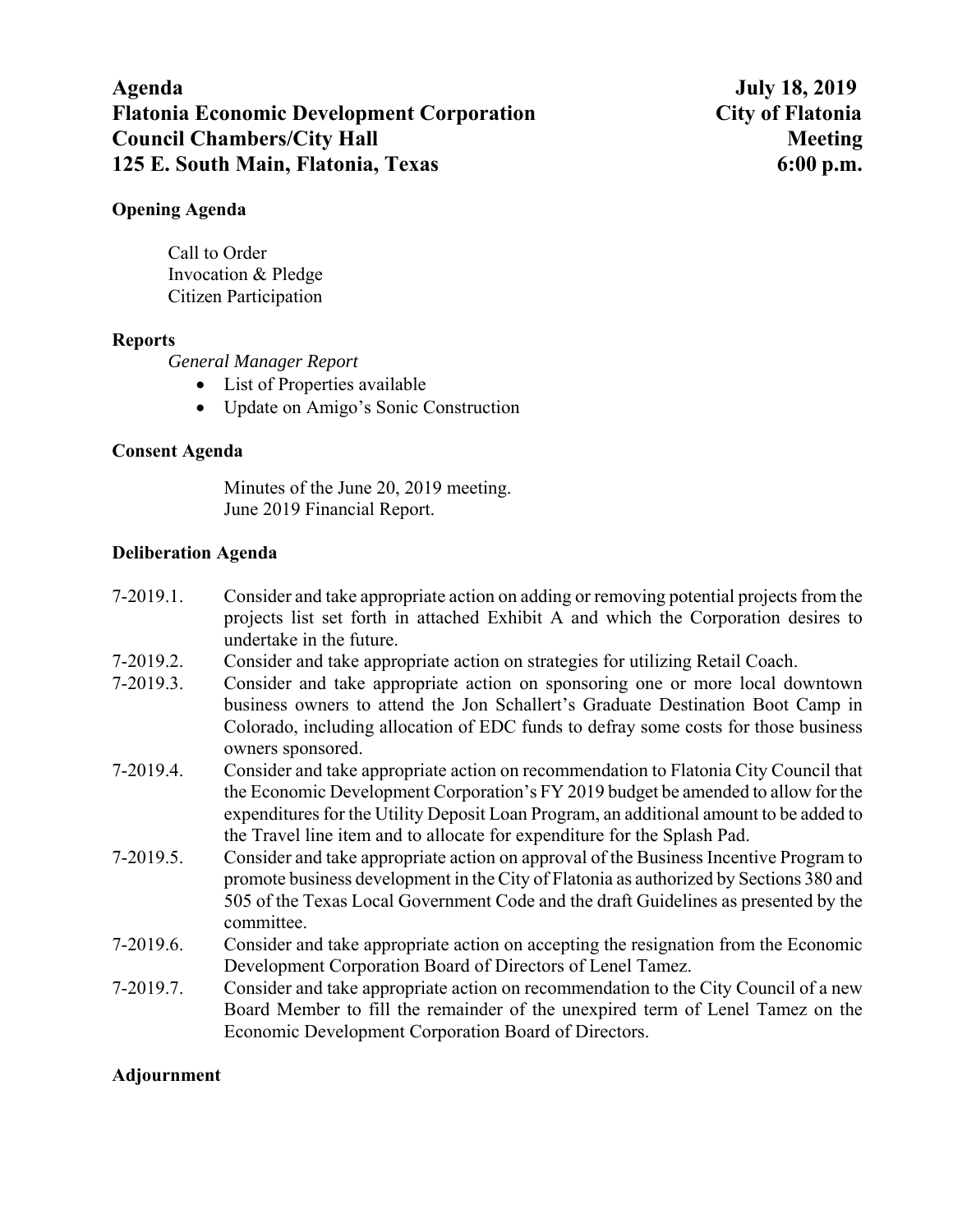# **Agenda July 18, 2019 Flatonia Economic Development Corporation City of Flatonia Council Chambers/City Hall Meeting Meeting Meeting Meeting Meeting Meeting Meeting Meeting Meeting Meeting Meeting Meeting Meeting Meeting Meeting Meeting Meeting Meeting Meeting Meeting Meeting Meeting Meeting Meeting Me 125 E. South Main, Flatonia, Texas 6:00 p.m.**

### **Opening Agenda**

Call to Order Invocation & Pledge Citizen Participation

#### **Reports**

*General Manager Report* 

- List of Properties available
- Update on Amigo's Sonic Construction

### **Consent Agenda**

Minutes of the June 20, 2019 meeting. June 2019 Financial Report.

### **Deliberation Agenda**

- 7-2019.1. Consider and take appropriate action on adding or removing potential projects from the projects list set forth in attached Exhibit A and which the Corporation desires to undertake in the future.
- 7-2019.2. Consider and take appropriate action on strategies for utilizing Retail Coach.
- 7-2019.3. Consider and take appropriate action on sponsoring one or more local downtown business owners to attend the Jon Schallert's Graduate Destination Boot Camp in Colorado, including allocation of EDC funds to defray some costs for those business owners sponsored.
- 7-2019.4. Consider and take appropriate action on recommendation to Flatonia City Council that the Economic Development Corporation's FY 2019 budget be amended to allow for the expenditures for the Utility Deposit Loan Program, an additional amount to be added to the Travel line item and to allocate for expenditure for the Splash Pad.
- 7-2019.5. Consider and take appropriate action on approval of the Business Incentive Program to promote business development in the City of Flatonia as authorized by Sections 380 and 505 of the Texas Local Government Code and the draft Guidelines as presented by the committee.
- 7-2019.6. Consider and take appropriate action on accepting the resignation from the Economic Development Corporation Board of Directors of Lenel Tamez.
- 7-2019.7. Consider and take appropriate action on recommendation to the City Council of a new Board Member to fill the remainder of the unexpired term of Lenel Tamez on the Economic Development Corporation Board of Directors.

### **Adjournment**